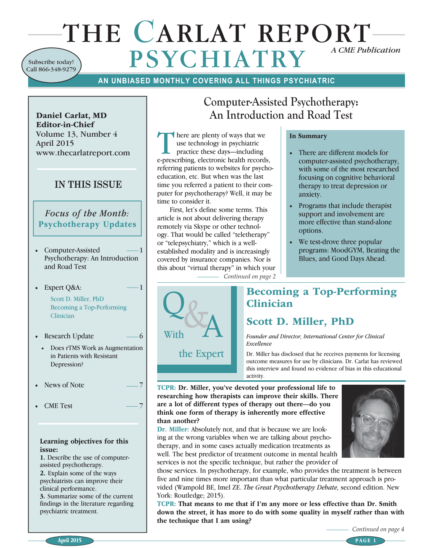# THE **C**ARLAT REPORT  $\bf PSYCHIATRY$ Subscribe today! Call 866-348-9279

## **AN UNBIASED MONTHLY COVERING ALL THINGS PSYCHIATRIC**

There are plenty of ways that we<br>use technology in psychiatric<br>practice these days—including<br>a prescribing electronic beath record use technology in psychiatric

e-prescribing, electronic health records, referring patients to websites for psychoeducation, etc. But when was the last time you referred a patient to their computer for psychotherapy? Well, it may be

First, let's define some terms. This article is not about delivering therapy remotely via Skype or other technology. That would be called "teletherapy" or "telepsychiatry," which is a wellestablished modality and is increasingly covered by insurance companies. Nor is this about "virtual therapy" in which your

time to consider it.

Daniel Carlat, MD Editor-in-Chief Volume 13, Number 4 April 2015 www.thecarlatreport.com

## **IN THIS ISSUE**

*Focus of the Month:* Psychotherapy Updates

- Computer-Assisted Psychotherapy: An Introduction and Road Test
- Expert Q&A:  $-1$ Scott D. Miller, PhD Becoming a Top-Performing **Clinician**
- Research Update  $\sim$  6
	- Does rTMS Work as Augmentation in Patients with Resistant Depression?
- News of Note  $-7$
- CME Test

#### Learning objectives for this issue:

1. Describe the use of computerassisted psychotherapy.

2. Explain some of the ways psychiatrists can improve their clinical performance.

3. Summarize some of the current findings in the literature regarding psychiatric treatment.

# **Computer-Assisted Psychotherapy: An Introduction and Road Test**

In Summary

- There are different models for computer-assisted psychotherapy, with some of the most researched focusing on cognitive behavioral therapy to treat depression or anxiety.
- Programs that include therapist support and involvement are more effective than stand-alone options.
- We test-drove three popular programs: MoodGYM, Beating the Blues, and Good Days Ahead.

*Continued on page 2*



## Becoming a Top-Performing Clinician

# Scott D. Miller, PhD

*Founder and Director, International Center for Clinical Excellence*

Dr. Miller has disclosed that he receives payments for licensing outcome measures for use by clinicians. Dr. Carlat has reviewed this interview and found no evidence of bias in this educational activity.

TCPR: Dr. Miller, you've devoted your professional life to researching how therapists can improve their skills. There are a lot of different types of therapy out there—do you think one form of therapy is inherently more effective than another?

Dr. Miller: Absolutely not, and that is because we are looking at the wrong variables when we are talking about psychotherapy, and in some cases actually medication treatments as well. The best predictor of treatment outcome in mental health services is not the specific technique, but rather the provider of



those services. In psychotherapy, for example, who provides the treatment is between five and nine times more important than what particular treatment approach is provided (Wampold BE, Imel ZE. *The Great Psychotherapy Debate,* second edition. New York: Routledge; 2015).

TCPR: That means to me that if I'm any more or less effective than Dr. Smith down the street, it has more to do with some quality in myself rather than with the technique that I am using?

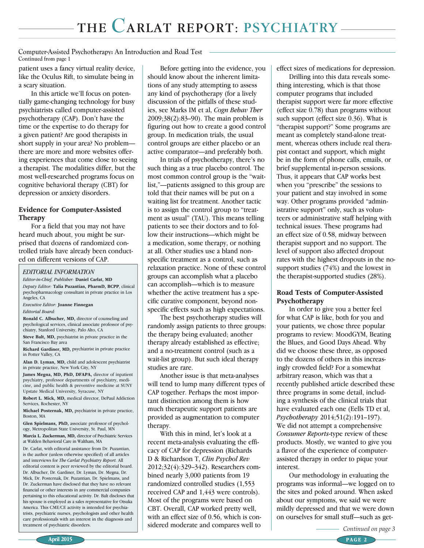#### **Computer-Assisted Psychotherapy: An Introduction and Road Test Continued from page 1**

patient uses a fancy virtual reality device, like the Oculus Rift, to simulate being in a scary situation.

In this article we'll focus on potentially game-changing technology for busy psychiatrists called computer-assisted psychotherapy (CAP). Don't have the time or the expertise to do therapy for a given patient? Are good therapists in short supply in your area? No problem there are more and more websites offering experiences that come close to seeing a therapist. The modalities differ, but the most well-researched programs focus on cognitive behavioral therapy (CBT) for depression or anxiety disorders.

#### Evidence for Computer-Assisted Therapy

For a field that you may not have heard much about, you might be surprised that dozens of randomized controlled trials have already been conducted on different versions of CAP.

#### *EDITORIAL INFORMATION*

*Editor-in-Chief, Publisher:* Daniel Carlat, MD *Deputy Editor:* Talia Puzantian, PharmD, BCPP, clinical psychopharmacology consultant in private practice in Los Angeles, CA

*Executive Editor:* Joanne Finnegan

*Editorial Board:* 

Ronald C. Albucher, MD, director of counseling and psychological services, clinical associate professor of psychiatry, Stanford University, Palo Alto, CA

Steve Balt, MD, psychiatrist in private practice in the San Francisco Bay area

Richard Gardiner, MD, psychiatrist in private practice in Potter Valley, CA

Alan D. Lyman, MD, child and adolescent psychiatrist in private practice, New York City, NY

James Megna, MD, PhD, DFAPA, director of inpatient psychiatry, professor departments of psychiatry, medicine, and public health & preventive medicine at SUNY Upstate Medical University, Syracuse, NY

Robert L. Mick, MD, medical director, DePaul Addiction Services, Rochester, NY

Michael Posternak, MD, psychiatrist in private practice, Boston, MA

Glen Spielmans, PhD, associate professor of psychology, Metropolitan State University, St. Paul, MN

Marcia L. Zuckerman, MD, director of Psychiatric Services at Walden Behavioral Care in Waltham, MA

Dr. Carlat, with editorial assistance from Dr. Puzantian, is the author (unless otherwise specified) of all articles and interviews for *The Carlat Psychiatry Report.* All editorial content is peer reviewed by the editorial board. Dr. Albucher, Dr. Gardiner, Dr. Lyman, Dr. Megna, Dr. Mick, Dr. Posternak, Dr. Puzantian, Dr. Spielmans, and Dr. Zuckerman have disclosed that they have no relevant financial or other interests in any commercial companies pertaining to this educational activity. Dr. Balt discloses that his spouse is employed as a sales representative for Otsuka America. This CME/CE activity is intended for psychiatrists, psychiatric nurses, psychologists and other health care professionals with an interest in the diagnosis and treatment of psychiatric disorders.

Before getting into the evidence, you should know about the inherent limitations of any study attempting to assess any kind of psychotherapy (for a lively discussion of the pitfalls of these studies, see Marks IM et al, *Cogn Behav Ther*  2009;38(2):83–90). The main problem is figuring out how to create a good control group. In medication trials, the usual control groups are either placebo or an active comparator—and preferably both.

In trials of psychotherapy, there's no such thing as a true placebo control. The most common control group is the "waitlist,"—patients assigned to this group are told that their names will be put on a waiting list for treatment. Another tactic is to assign the control group to "treatment as usual" (TAU). This means telling patients to see their doctors and to follow their instructions—which might be a medication, some therapy, or nothing at all. Other studies use a bland nonspecific treatment as a control, such as relaxation practice. None of these control groups can accomplish what a placebo can accomplish—which is to measure whether the active treatment has a specific curative component, beyond nonspecific effects such as high expectations.

The best psychotherapy studies will randomly assign patients to three groups: the therapy being evaluated; another therapy already established as effective; and a no-treatment control (such as a wait-list group). But such ideal therapy studies are rare.

Another issue is that meta-analyses will tend to lump many different types of CAP together. Perhaps the most important distinction among them is how much therapeutic support patients are provided as augmentation to computer therapy.

With this in mind, let's look at a recent meta-analysis evaluating the efficacy of CAP for depression (Richards D & Richardson T, *Clin Psychol Rev* 2012;32(4):329–342). Researchers combined nearly 3,000 patients from 19 randomized controlled studies (1,553 received CAP and 1,443 were controls). Most of the programs were based on CBT. Overall, CAP worked pretty well, with an effect size of 0.56, which is considered moderate and compares well to effect sizes of medications for depression.

Drilling into this data reveals something interesting, which is that those computer programs that included therapist support were far more effective (effect size 0.78) than programs without such support (effect size 0.36). What is "therapist support?" Some programs are meant as completely stand-alone treatment, whereas others include real therapist contact and support, which might be in the form of phone calls, emails, or brief supplemental in-person sessions. Thus, it appears that CAP works best when you "prescribe" the sessions to your patient and stay involved in some way. Other programs provided "administrative support" only, such as volunteers or administrative staff helping with technical issues. These programs had an effect size of 0.58, midway between therapist support and no support. The level of support also affected dropout rates with the highest dropouts in the nosupport studies (74%) and the lowest in the therapist-supported studies (28%).

### Road Tests of Computer-Assisted Psychotherapy

In order to give you a better feel for what CAP is like, both for you and your patients, we chose three popular programs to review: MoodGYM, Beating the Blues, and Good Days Ahead. Why did we choose these three, as opposed to the dozens of others in this increasingly crowded field? For a somewhat arbitrary reason, which was that a recently published article described these three programs in some detail, including a synthesis of the clinical trials that have evaluated each one (Eells TD et al, *Psychotherapy* 2014;51(2):191–197). We did not attempt a comprehensive *Consumer Reports*-type review of these products. Mostly, we wanted to give you a flavor of the experience of computerassisted therapy in order to pique your interest.

Our methodology in evaluating the programs was informal—we logged on to the sites and poked around. When asked about our symptoms, we said we were mildly depressed and that we were down on ourselves for small stuff—such as get-

*Continued on page 3*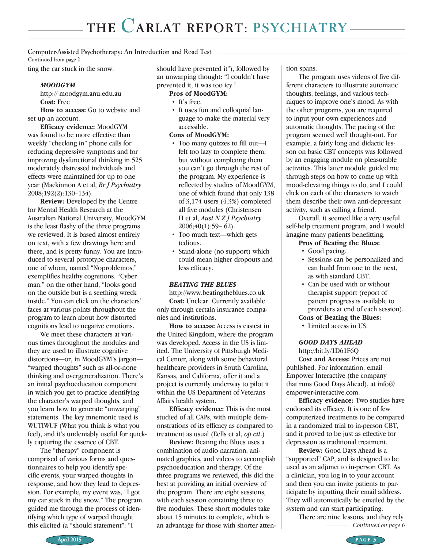**Continued from page 2 Computer-Assisted Psychotherapy: An Introduction and Road Test**

ting the car stuck in the snow.

#### MOODGYM

http:// moodgym.anu.edu.au Cost: Free

How to access: Go to website and set up an account.

Efficacy evidence: MoodGYM was found to be more effective than weekly "checking in" phone calls for reducing depressive symptoms and for improving dysfunctional thinking in 525 moderately distressed individuals and effects were maintained for up to one year (Mackinnon A et al, *Br J Psychiatry*  2008;192(2):130–134).

Review: Developed by the Centre for Mental Health Research at the Australian National University, MoodGYM is the least flashy of the three programs we reviewed. It is based almost entirely on text, with a few drawings here and there, and is pretty funny. You are introduced to several prototype characters, one of whom, named "Noproblemos," exemplifies healthy cognitions. "Cyber man," on the other hand, "looks good on the outside but is a seething wreck inside." You can click on the characters' faces at various points throughout the program to learn about how distorted cognitions lead to negative emotions.

We meet these characters at various times throughout the modules and they are used to illustrate cognitive distortions—or, in MoodGYM's jargon— "warped thoughts" such as all-or-none thinking and overgeneralization. There's an initial psychoeducation component in which you get to practice identifying the character's warped thoughts, and you learn how to generate "unwarping" statements. The key mnemonic used is WUTIWUF (What you think is what you feel), and it's undeniably useful for quickly capturing the essence of CBT.

The "therapy" component is comprised of various forms and questionnaires to help you identify specific events, your warped thoughts in response, and how they lead to depression. For example, my event was, "I got my car stuck in the snow." The program guided me through the process of identifying which type of warped thought this elicited (a "should statement": "I

should have prevented it"), followed by an unwarping thought: "I couldn't have prevented it, it was too icy."

#### Pros of MoodGYM:

- It's free.
- It uses fun and colloquial language to make the material very accessible.

#### Cons of MoodGYM:

- Too many quizzes to fill out—I felt too lazy to complete them, but without completing them you can't go through the rest of the program. My experience is reflected by studies of MoodGYM, one of which found that only 138 of 3,174 users (4.3%) completed all five modules (Christensen H et al, *Aust N Z J Psychiatry*   $2006;40(1):59-62$ .
- Too much text—which gets tedious.
- Stand-alone (no support) which could mean higher dropouts and less efficacy.

#### BEATING THE BLUES

http://www.beatingtheblues.co.uk Cost: Unclear. Currently available only through certain insurance companies and institutions.

How to access: Access is easiest in the United Kingdom, where the program was developed. Access in the US is limited. The University of Pittsburgh Medical Center, along with some behavioral healthcare providers in South Carolina, Kansas, and California, offer it and a project is currently underway to pilot it within the US Department of Veterans Affairs health system.

Efficacy evidence: This is the most studied of all CAPs, with multiple demonstrations of its efficacy as compared to treatment as usual (Eells et al, *op cit*.)

Review: Beating the Blues uses a combination of audio narration, animated graphics, and videos to accomplish psychoeducation and therapy. Of the three programs we reviewed, this did the best at providing an initial overview of the program. There are eight sessions, with each session containing three to five modules. These short modules take about 15 minutes to complete, which is an advantage for those with shorter atten- *Continued on page 6*

tion spans.

The program uses videos of five different characters to illustrate automatic thoughts, feelings, and various techniques to improve one's mood. As with the other programs, you are required to input your own experiences and automatic thoughts. The pacing of the program seemed well thought-out. For example, a fairly long and didactic lesson on basic CBT concepts was followed by an engaging module on pleasurable activities. This latter module guided me through steps on how to come up with mood-elevating things to do, and I could click on each of the characters to watch them describe their own anti-depressant activity, such as calling a friend.

Overall, it seemed like a very useful self-help treatment program, and I would imagine many patients benefitting.

#### Pros of Beating the Blues:

- Good pacing.
- Sessions can be personalized and can build from one to the next, as with standard CBT.
- Can be used with or without therapist support (report of patient progress is available to providers at end of each session).

### Cons of Beating the Blues:

• Limited access in US.

### GOOD DAYS AHEAD

http://bit.ly/1D61F6Q Cost and Access: Prices are not published. For information, email Empower Interactive (the company that runs Good Days Ahead), at info@ empower-interactive.com.

Efficacy evidence: Two studies have endorsed its efficacy. It is one of few computerized treatments to be compared in a randomized trial to in-person CBT, and it proved to be just as effective for depression as traditional treatment.

Review: Good Days Ahead is a "supported" CAP, and is designed to be used as an adjunct to in-person CBT. As a clinician, you log in to your account and then you can invite patients to participate by inputting their email address. They will automatically be emailed by the system and can start participating.

There are nine lessons, and they rely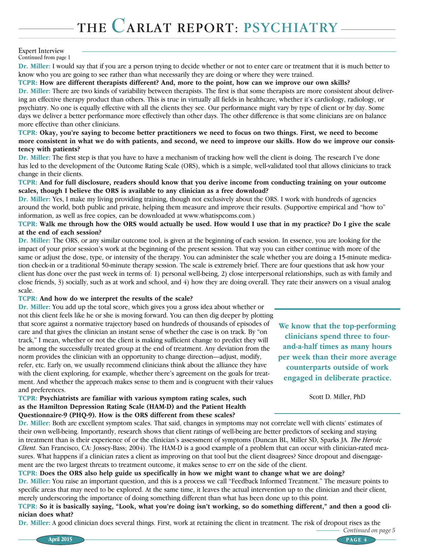#### **Continued from page 1 Expert Interview**

Dr. Miller: I would say that if you are a person trying to decide whether or not to enter care or treatment that it is much better to know who you are going to see rather than what necessarily they are doing or where they were trained.

#### TCPR: How are different therapists different? And, more to the point, how can we improve our own skills?

Dr. Miller: There are two kinds of variability between therapists. The first is that some therapists are more consistent about delivering an effective therapy product than others. This is true in virtually all fields in healthcare, whether it's cardiology, radiology, or psychiatry. No one is equally effective with all the clients they see. Our performance might vary by type of client or by day. Some days we deliver a better performance more effectively than other days. The other difference is that some clinicians are on balance more effective than other clinicians.

TCPR: Okay, you're saying to become better practitioners we need to focus on two things. First, we need to become more consistent in what we do with patients, and second, we need to improve our skills. How do we improve our consistency with patients?

Dr. Miller: The first step is that you have to have a mechanism of tracking how well the client is doing. The research I've done has led to the development of the Outcome Rating Scale (ORS), which is a simple, well-validated tool that allows clinicians to track change in their clients.

#### TCPR: And for full disclosure, readers should know that you derive income from conducting training on your outcome scales, though I believe the ORS is available to any clinician as a free download?

Dr. Miller: Yes, I make my living providing training, though not exclusively about the ORS. I work with hundreds of agencies around the world, both public and private, helping them measure and improve their results. (Supportive empirical and "how to" information, as well as free copies, can be downloaded at www.whatispcoms.com.)

#### TCPR: Walk me through how the ORS would actually be used. How would I use that in my practice? Do I give the scale at the end of each session?

Dr. Miller: The ORS, or any similar outcome tool, is given at the beginning of each session. In essence, you are looking for the impact of your prior session's work at the beginning of the present session. That way you can either continue with more of the same or adjust the dose, type, or intensity of the therapy. You can administer the scale whether you are doing a 15-minute medication check-in or a traditional 50-minute therapy session. The scale is extremely brief. There are four questions that ask how your client has done over the past week in terms of: 1) personal well-being, 2) close interpersonal relationships, such as with family and close friends, 3) socially, such as at work and school, and 4) how they are doing overall. They rate their answers on a visual analog scale.

### TCPR: And how do we interpret the results of the scale?

Dr. Miller: You add up the total score, which gives you a gross idea about whether or not this client feels like he or she is moving forward. You can then dig deeper by plotting that score against a normative trajectory based on hundreds of thousands of episodes of care and that gives the clinician an instant sense of whether the case is on track. By "on track," I mean, whether or not the client is making sufficient change to predict they will be among the successfully treated group at the end of treatment. Any deviation from the norm provides the clinician with an opportunity to change direction—adjust, modify, refer, etc. Early on, we usually recommend clinicians think about the alliance they have with the client exploring, for example, whether there's agreement on the goals for treatment. And whether the approach makes sense to them and is congruent with their values and preferences.

TCPR: Psychiatrists are familiar with various symptom rating scales, such as the Hamilton Depression Rating Scale (HAM-D) and the Patient Health Questionnaire-9 (PHQ-9). How is the ORS different from these scales?

We know that the top-performing clinicians spend three to fourand-a-half times as many hours per week than their more average counterparts outside of work engaged in deliberate practice.

Scott D. Miller, PhD

*Continued on page 5*

Dr. Miller: Both are excellent symptom scales. That said, changes in symptoms may not correlate well with clients' estimates of their own well-being. Importantly, research shows that client ratings of well-being are better predictors of seeking and staying in treatment than is their experience of or the clinician's assessment of symptoms (Duncan BL, Miller SD, Sparks JA. *The Heroic Client.* San Francisco, CA: Jossey-Bass; 2004). The HAM-D is a good example of a problem that can occur with clinician-rated measures. What happens if a clinician rates a client as improving on that tool but the client disagrees? Since dropout and disengagement are the two largest threats to treatment outcome, it makes sense to err on the side of the client.

### TCPR: Does the ORS also help guide us specifically in how we might want to change what we are doing?

Dr. Miller: You raise an important question, and this is a process we call "Feedback Informed Treatment." The measure points to specific areas that may need to be explored. At the same time, it leaves the actual intervention up to the clinician and their client, merely underscoring the importance of doing something different than what has been done up to this point.

TCPR: So it is basically saying, "Look, what you're doing isn't working, so do something different," and then a good clinician does what?

Dr. Miller: A good clinician does several things. First, work at retaining the client in treatment. The risk of dropout rises as the

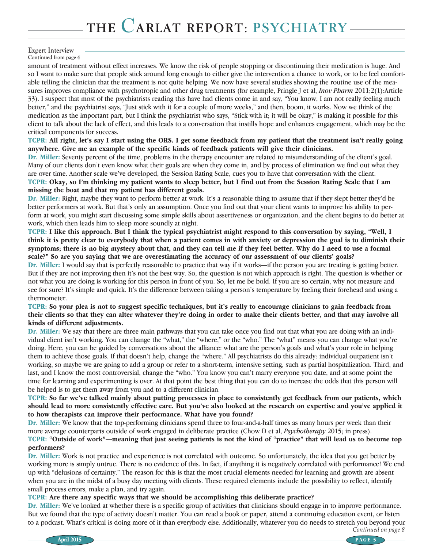### **Expert Interview**

**Continued from page 4**

amount of treatment without effect increases. We know the risk of people stopping or discontinuing their medication is huge. And so I want to make sure that people stick around long enough to either give the intervention a chance to work, or to be feel comfortable telling the clinician that the treatment is not quite helping. We now have several studies showing the routine use of the measures improves compliance with psychotropic and other drug treatments (for example, Pringle J et al, *Inov Pharm* 2011;2(1):Article 33). I suspect that most of the psychiatrists reading this have had clients come in and say, "You know, I am not really feeling much better," and the psychiatrist says, "Just stick with it for a couple of more weeks," and then, boom, it works. Now we think of the medication as the important part, but I think the psychiatrist who says, "Stick with it; it will be okay," is making it possible for this client to talk about the lack of effect, and this leads to a conversation that instills hope and enhances engagement, which may be the critical components for success.

TCPR: All right, let's say I start using the ORS. I get some feedback from my patient that the treatment isn't really going anywhere. Give me an example of the specific kinds of feedback patients will give their clinicians.

Dr. Miller: Seventy percent of the time, problems in the therapy encounter are related to misunderstanding of the client's goal. Many of our clients don't even know what their goals are when they come in, and by process of elimination we find out what they are over time. Another scale we've developed, the Session Rating Scale, cues you to have that conversation with the client. TCPR: Okay, so I'm thinking my patient wants to sleep better, but I find out from the Session Rating Scale that I am missing the boat and that my patient has different goals.

Dr. Miller: Right, maybe they want to perform better at work. It's a reasonable thing to assume that if they slept better they'd be better performers at work. But that's only an assumption. Once you find out that your client wants to improve his ability to perform at work, you might start discussing some simple skills about assertiveness or organization, and the client begins to do better at work, which then leads him to sleep more soundly at night.

TCPR: I like this approach. But I think the typical psychiatrist might respond to this conversation by saying, "Well, I think it is pretty clear to everybody that when a patient comes in with anxiety or depression the goal is to diminish their symptoms; there is no big mystery about that, and they can tell me if they feel better. Why do I need to use a formal scale?" So are you saying that we are overestimating the accuracy of our assessment of our clients' goals?

Dr. Miller: I would say that is perfectly reasonable to practice that way if it works—if the person you are treating is getting better. But if they are not improving then it's not the best way. So, the question is not which approach is right. The question is whether or not what you are doing is working for this person in front of you. So, let me be bold. If you are so certain, why not measure and see for sure? It's simple and quick. It's the difference between taking a person's temperature by feeling their forehead and using a thermometer.

#### TCPR: So your plea is not to suggest specific techniques, but it's really to encourage clinicians to gain feedback from their clients so that they can alter whatever they're doing in order to make their clients better, and that may involve all kinds of different adjustments.

Dr. Miller: We say that there are three main pathways that you can take once you find out that what you are doing with an individual client isn't working. You can change the "what," the "where," or the "who." The "what" means you can change what you're doing. Here, you can be guided by conversations about the alliance: what are the person's goals and what's your role in helping them to achieve those goals. If that doesn't help, change the "where." All psychiatrists do this already: individual outpatient isn't working, so maybe we are going to add a group or refer to a short-term, intensive setting, such as partial hospitalization. Third, and last, and I know the most controversial, change the "who." You know you can't marry everyone you date, and at some point the time for learning and experimenting is over. At that point the best thing that you can do to increase the odds that this person will be helped is to get them away from you and to a different clinician.

#### TCPR: So far we've talked mainly about putting processes in place to consistently get feedback from our patients, which should lead to more consistently effective care. But you've also looked at the research on expertise and you've applied it to how therapists can improve their performance. What have you found?

Dr. Miller: We know that the top-performing clinicians spend three to four-and-a-half times as many hours per week than their more average counterparts outside of work engaged in deliberate practice (Chow D et al, *Psychotherapy* 2015; in press). TCPR: "Outside of work"—meaning that just seeing patients is not the kind of "practice" that will lead us to become top performers?

Dr. Miller: Work is not practice and experience is not correlated with outcome. So unfortunately, the idea that you get better by working more is simply untrue. There is no evidence of this. In fact, if anything it is negatively correlated with performance! We end up with "delusions of certainty." The reason for this is that the most crucial elements needed for learning and growth are absent when you are in the midst of a busy day meeting with clients. These required elements include the possibility to reflect, identify small process errors, make a plan, and try again.

### TCPR: Are there any specific ways that we should be accomplishing this deliberate practice?

Dr. Miller: We've looked at whether there is a specific group of activities that clinicians should engage in to improve performance. But we found that the type of activity doesn't matter. You can read a book or paper, attend a continuing education event, or listen to a podcast. What's critical is doing more of it than everybody else. Additionally, whatever you do needs to stretch you beyond your

*Continued on page 8*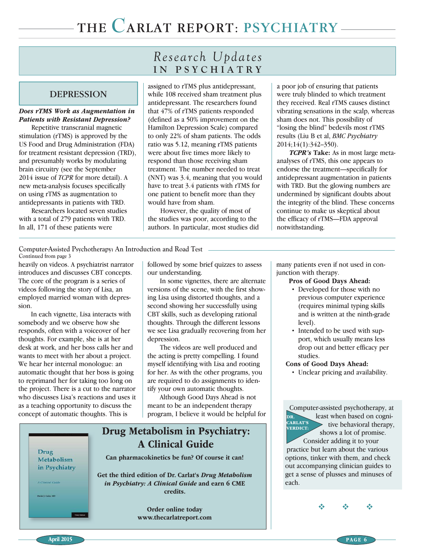## DEPRESSION

#### Does rTMS Work as Augmentation in Patients with Resistant Depression?

Repetitive transcranial magnetic stimulation (rTMS) is approved by the US Food and Drug Administration (FDA) for treatment resistant depression (TRD), and presumably works by modulating brain circuitry (see the September 2014 issue of *TCPR* for more detail). A new meta-analysis focuses specifically on using rTMS as augmentation to antidepressants in patients with TRD.

Researchers located seven studies with a total of 279 patients with TRD. In all, 171 of these patients were

# *Research Updates* **IN PSYCHIATRY**

assigned to rTMS plus antidepressant, while 108 received sham treatment plus antidepressant. The researchers found that 47% of rTMS patients responded (defined as a 50% improvement on the Hamilton Depression Scale) compared to only 22% of sham patients. The odds ratio was 5.12, meaning rTMS patients were about five times more likely to respond than those receiving sham treatment. The number needed to treat (NNT) was 3.4, meaning that you would have to treat 3.4 patients with rTMS for one patient to benefit more than they would have from sham.

However, the quality of most of the studies was poor, according to the authors. In particular, most studies did a poor job of ensuring that patients were truly blinded to which treatment they received. Real rTMS causes distinct vibrating sensations in the scalp, whereas sham does not. This possibility of "losing the blind" bedevils most rTMS results (Liu B et al, *BMC Psychiatry*  2014;14(1):342–350).

TCPR's Take: As in most large metaanalyses of rTMS, this one appears to endorse the treatment—specifically for antidepressant augmentation in patients with TRD. But the glowing numbers are undermined by significant doubts about the integrity of the blind. These concerns continue to make us skeptical about the efficacy of rTMS—FDA approval notwithstanding.

**Continued from page 3 Computer-Assisted Psychotherapy: An Introduction and Road Test**

heavily on videos. A psychiatrist narrator introduces and discusses CBT concepts. The core of the program is a series of videos following the story of Lisa, an employed married woman with depression.

In each vignette, Lisa interacts with somebody and we observe how she responds, often with a voiceover of her thoughts. For example, she is at her desk at work, and her boss calls her and wants to meet with her about a project. We hear her internal monologue: an automatic thought that her boss is going to reprimand her for taking too long on the project. There is a cut to the narrator who discusses Lisa's reactions and uses it as a teaching opportunity to discuss the concept of automatic thoughts. This is

followed by some brief quizzes to assess our understanding.

In some vignettes, there are alternate versions of the scene, with the first showing Lisa using distorted thoughts, and a second showing her successfully using CBT skills, such as developing rational thoughts. Through the different lessons we see Lisa gradually recovering from her depression.

The videos are well produced and the acting is pretty compelling. I found myself identifying with Lisa and rooting for her. As with the other programs, you are required to do assignments to identify your own automatic thoughts.

Although Good Days Ahead is not meant to be an independent therapy program, I believe it would be helpful for

## Drug Metabolism in Psychiatry: A Clinical Guide **Drug** Can pharmacokinetics be fun? Of course it can! Metabolism in Psychiatry Get the third edition of Dr. Carlat's Drug Metabolism in Psychiatry: A Clinical Guide and earn 6 CME credits. Order online today www.thecarlatreport.com

many patients even if not used in conjunction with therapy.

#### Pros of Good Days Ahead:

- Developed for those with no previous computer experience (requires minimal typing skills and is written at the ninth-grade level).
- Intended to be used with support, which usually means less drop out and better efficacy per studies.

#### Cons of Good Days Ahead:

• Unclear pricing and availability.

Computer-assisted psychotherapy, at least when based on cogni- $\triangleright$  tive behavioral therapy, shows a lot of promise. Consider adding it to your practice but learn about the various options, tinker with them, and check out accompanying clinician guides to get a sense of plusses and minuses of each. DR. CARLAT'S VERDICT:

 $\Phi_1=\Phi_2=\Phi_3$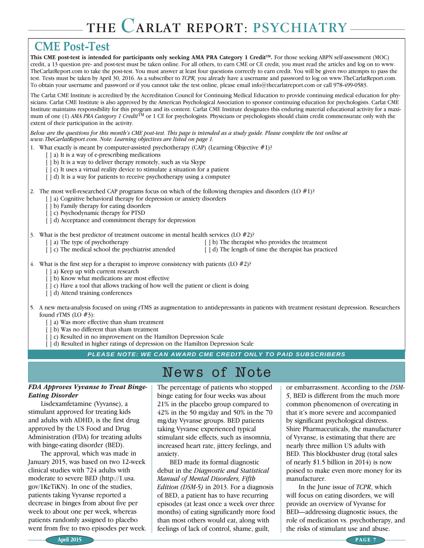# **CME Post-Test**

This CME post-test is intended for participants only seeking AMA PRA Category 1 Credit<sup>TM</sup>. For those seeking ABPN self-assessment (MOC) credit, a 13 question pre- and post-test must be taken online. For all others, to earn CME or CE credit, you must read the articles and log on to www. TheCarlatReport.com to take the post-test. You must answer at least four questions correctly to earn credit. You will be given two attempts to pass the test. Tests must be taken by April 30, 2016. As a subscriber to *TCPR,* you already have a username and password to log on www.TheCarlatReport.com. To obtain your username and password or if you cannot take the test online, please email info@thecarlatreport.com or call 978-499-0583.

The Carlat CME Institute is accredited by the Accreditation Council for Continuing Medical Education to provide continuing medical education for physicians. Carlat CME Institute is also approved by the American Psychological Association to sponsor continuing education for psychologists. Carlat CME Institute maintains responsibility for this program and its content. Carlat CME Institute designates this enduring material educational activity for a maximum of one (1) *AMA PRA Category 1 Credit*<sup>TM</sup> or 1 CE for psychologists. Physicians or psychologists should claim credit commensurate only with the extent of their participation in the activity.

*Below are the questions for this month's CME post-test. This page is intended as a study guide. Please complete the test online at www.TheCarlatReport.com. Note: Learning objectives are listed on page 1.*

- 1. What exactly is meant by computer-assisted psychotherapy (CAP) (Learning Objective #1)?
	- [  $\vert$  a) It is a way of e-prescribing medications
	- [  $\vert$  b) It is a way to deliver therapy remotely, such as via Skype
	- [  $\vert$  c) It uses a virtual reality device to stimulate a situation for a patient
	- [  $\vert$  d) It is a way for patients to receive psychotherapy using a computer
- 2. The most well-researched CAP programs focus on which of the following therapies and disorders (LO  $\#1$ )?
	- [ ] a) Cognitive behavioral therapy for depression or anxiety disorders
	- [  $\vert$  b) Family therapy for eating disorders
	- [  $|$  c) Psychodynamic therapy for PTSD
	- [  $\vert$  d) Acceptance and commitment therapy for depression
- 3. What is the best predictor of treatment outcome in mental health services (LO  $#2$ )?
	- [ ] a) The type of psychotherapy [ ] b) The therapist who provides the treatment
	- [ ] c) The medical school the psychiatrist attended [ ] d) The length of time the therapist has practiced
- -
- 
- 4. What is the first step for a therapist to improve consistency with patients  $(LO \#2)$ ?
	- [ ] a) Keep up with current research
	- [  $|$  b) Know what medications are most effective
	- [  $\vert$  c) Have a tool that allows tracking of how well the patient or client is doing
	- [ ] d) Attend training conferences

5. A new meta-analysis focused on using rTMS as augmentation to antidepressants in patients with treatment resistant depression. Researchers found rTMS (LO #3):

- [ ] a) Was more effective than sham treatment
- [  $|$  b) Was no different than sham treatment
- [  $|$  c) Resulted in no improvement on the Hamilton Depression Scale
- [  $\vert$  d) Resulted in higher ratings of depression on the Hamilton Depression Scale

*PLEASE NOTE: WE CAN AWARD CME CREDIT ONLY TO PAID SUBSCRIBERS*

#### FDA Approves Vyvanse to Treat Binge-Eating Disorder

Lisdexamfetamine (Vyvanse), a stimulant approved for treating kids and adults with ADHD, is the first drug approved by the US Food and Drug Administration (FDA) for treating adults with binge-eating disorder (BED).

The approval, which was made in January 2015, was based on two 12-week clinical studies with 724 adults with moderate to severe BED (http://1.usa. gov/1KeTiKN). In one of the studies, patients taking Vyvanse reported a decrease in binges from about five per week to about one per week, whereas patients randomly assigned to placebo went from five to two episodes per week.

# News of Note

The percentage of patients who stopped binge eating for four weeks was about 21% in the placebo group compared to 42% in the 50 mg/day and 50% in the 70 mg/day Vyvanse groups. BED patients taking Vyvanse experienced typical stimulant side effects, such as insomnia, increased heart rate, jittery feelings, and anxiety.

BED made its formal diagnostic debut in the *Diagnostic and Statistical Manual of Mental Disorders, Fifth Edition (DSM-5)* in 2013. For a diagnosis of BED, a patient has to have recurring episodes (at least once a week over three months) of eating significantly more food than most others would eat, along with feelings of lack of control, shame, guilt,

or embarrassment. According to the *DSM-5*, BED is different from the much more common phenomenon of overeating in that it's more severe and accompanied by significant psychological distress. Shire Pharmaceuticals, the manufacturer of Vyvanse, is estimating that there are nearly three million US adults with BED. This blockbuster drug (total sales of nearly \$1.5 billion in 2014) is now poised to make even more money for its manufacturer.

In the June issue of *TCPR*, which will focus on eating disorders, we will provide an overview of Vyvanse for BED—addressing diagnostic issues, the role of medication vs. psychotherapy, and the risks of stimulant use and abuse.

April 2015 PAGE 7